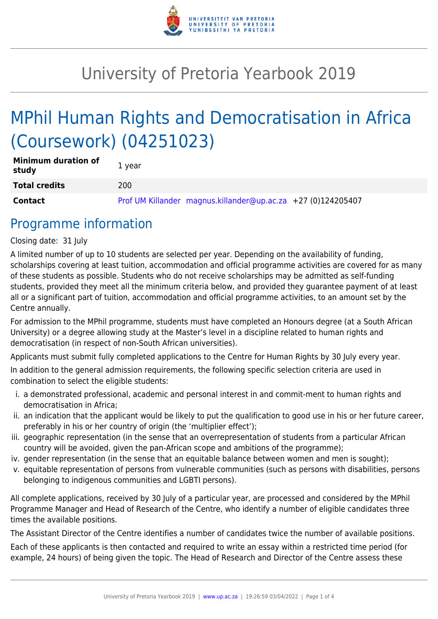

## University of Pretoria Yearbook 2019

# MPhil Human Rights and Democratisation in Africa (Coursework) (04251023)

| <b>Minimum duration of</b><br>study | 1 year                                                       |
|-------------------------------------|--------------------------------------------------------------|
| <b>Total credits</b>                | 200                                                          |
| <b>Contact</b>                      | Prof UM Killander magnus.killander@up.ac.za +27 (0)124205407 |

### Programme information

Closing date: 31 July

A limited number of up to 10 students are selected per year. Depending on the availability of funding, scholarships covering at least tuition, accommodation and official programme activities are covered for as many of these students as possible. Students who do not receive scholarships may be admitted as self-funding students, provided they meet all the minimum criteria below, and provided they guarantee payment of at least all or a significant part of tuition, accommodation and official programme activities, to an amount set by the Centre annually.

For admission to the MPhil programme, students must have completed an Honours degree (at a South African University) or a degree allowing study at the Master's level in a discipline related to human rights and democratisation (in respect of non-South African universities).

Applicants must submit fully completed applications to the Centre for Human Rights by 30 July every year.

In addition to the general admission requirements, the following specific selection criteria are used in combination to select the eligible students:

- i. a demonstrated professional, academic and personal interest in and commit-ment to human rights and democratisation in Africa;
- ii. an indication that the applicant would be likely to put the qualification to good use in his or her future career, preferably in his or her country of origin (the 'multiplier effect');
- iii. geographic representation (in the sense that an overrepresentation of students from a particular African country will be avoided, given the pan-African scope and ambitions of the programme);
- iv. gender representation (in the sense that an equitable balance between women and men is sought);
- v. equitable representation of persons from vulnerable communities (such as persons with disabilities, persons belonging to indigenous communities and LGBTI persons).

All complete applications, received by 30 July of a particular year, are processed and considered by the MPhil Programme Manager and Head of Research of the Centre, who identify a number of eligible candidates three times the available positions.

The Assistant Director of the Centre identifies a number of candidates twice the number of available positions.

Each of these applicants is then contacted and required to write an essay within a restricted time period (for example, 24 hours) of being given the topic. The Head of Research and Director of the Centre assess these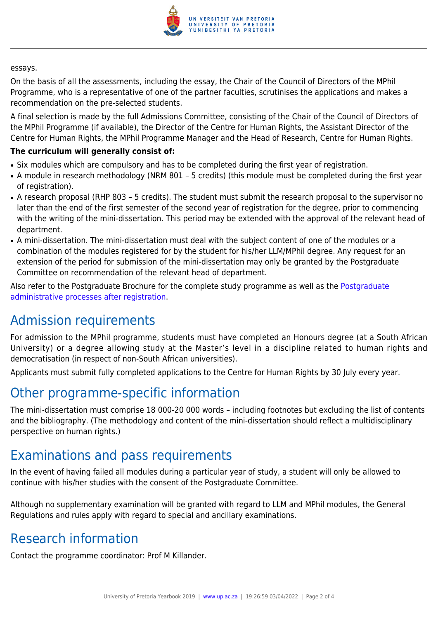

#### essays.

On the basis of all the assessments, including the essay, the Chair of the Council of Directors of the MPhil Programme, who is a representative of one of the partner faculties, scrutinises the applications and makes a recommendation on the pre-selected students.

A final selection is made by the full Admissions Committee, consisting of the Chair of the Council of Directors of the MPhil Programme (if available), the Director of the Centre for Human Rights, the Assistant Director of the Centre for Human Rights, the MPhil Programme Manager and the Head of Research, Centre for Human Rights.

#### **The curriculum will generally consist of:**

- Six modules which are compulsory and has to be completed during the first year of registration.
- A module in research methodology (NRM 801 5 credits) (this module must be completed during the first year of registration).
- A research proposal (RHP 803 5 credits). The student must submit the research proposal to the supervisor no later than the end of the first semester of the second year of registration for the degree, prior to commencing with the writing of the mini-dissertation. This period may be extended with the approval of the relevant head of department.
- A mini-dissertation. The mini-dissertation must deal with the subject content of one of the modules or a combination of the modules registered for by the student for his/her LLM/MPhil degree. Any request for an extension of the period for submission of the mini-dissertation may only be granted by the Postgraduate Committee on recommendation of the relevant head of department.

Also refer to the Postgraduate Brochure for the complete study programme as well as the [Postgraduate](http://www.up.ac.za/media/shared/10/ZP_Files/post-graduate-administrative-processes-brochures-for-the-faculty-web.zp124870.pdf) [administrative processes after registration.](http://www.up.ac.za/media/shared/10/ZP_Files/post-graduate-administrative-processes-brochures-for-the-faculty-web.zp124870.pdf)

### Admission requirements

For admission to the MPhil programme, students must have completed an Honours degree (at a South African University) or a degree allowing study at the Master's level in a discipline related to human rights and democratisation (in respect of non-South African universities).

Applicants must submit fully completed applications to the Centre for Human Rights by 30 July every year.

### Other programme-specific information

The mini-dissertation must comprise 18 000-20 000 words – including footnotes but excluding the list of contents and the bibliography. (The methodology and content of the mini-dissertation should reflect a multidisciplinary perspective on human rights.)

### Examinations and pass requirements

In the event of having failed all modules during a particular year of study, a student will only be allowed to continue with his/her studies with the consent of the Postgraduate Committee.

Although no supplementary examination will be granted with regard to LLM and MPhil modules, the General Regulations and rules apply with regard to special and ancillary examinations.

### Research information

Contact the programme coordinator: Prof M Killander.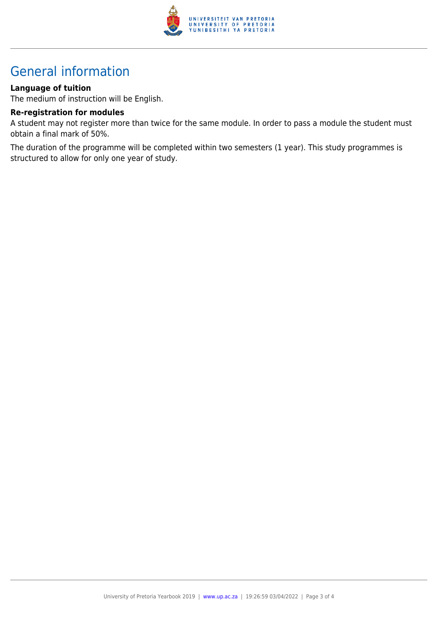

## General information

#### **Language of tuition**

The medium of instruction will be English.

#### **Re-registration for modules**

A student may not register more than twice for the same module. In order to pass a module the student must obtain a final mark of 50%.

The duration of the programme will be completed within two semesters (1 year). This study programmes is structured to allow for only one year of study.